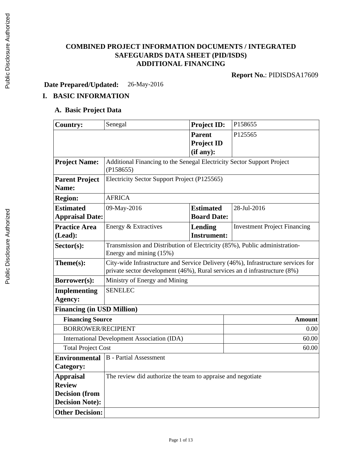# **COMBINED PROJECT INFORMATION DOCUMENTS / INTEGRATED SAFEGUARDS DATA SHEET (PID/ISDS) ADDITIONAL FINANCING**

**Report No.**: PIDISDSA17609

**Date Prepared/Updated:** 26-May-2016

# **I. BASIC INFORMATION**

# **A. Basic Project Data**

| <b>Country:</b>                   | Senegal                                                                                                                                                       | <b>Project ID:</b> | P158655                             |  |
|-----------------------------------|---------------------------------------------------------------------------------------------------------------------------------------------------------------|--------------------|-------------------------------------|--|
|                                   |                                                                                                                                                               | <b>Parent</b>      | P125565                             |  |
|                                   |                                                                                                                                                               | <b>Project ID</b>  |                                     |  |
|                                   |                                                                                                                                                               | (if any):          |                                     |  |
| <b>Project Name:</b>              | Additional Financing to the Senegal Electricity Sector Support Project<br>(P158655)                                                                           |                    |                                     |  |
| <b>Parent Project</b><br>Name:    | Electricity Sector Support Project (P125565)                                                                                                                  |                    |                                     |  |
| <b>Region:</b>                    | <b>AFRICA</b>                                                                                                                                                 |                    |                                     |  |
| <b>Estimated</b>                  | 09-May-2016                                                                                                                                                   | <b>Estimated</b>   | 28-Jul-2016                         |  |
| <b>Appraisal Date:</b>            |                                                                                                                                                               | <b>Board Date:</b> |                                     |  |
| <b>Practice Area</b>              | Energy & Extractives                                                                                                                                          | Lending            | <b>Investment Project Financing</b> |  |
| (Lead):                           |                                                                                                                                                               | <b>Instrument:</b> |                                     |  |
| Sector(s):                        | Transmission and Distribution of Electricity (85%), Public administration-<br>Energy and mining (15%)                                                         |                    |                                     |  |
| Theme(s):                         | City-wide Infrastructure and Service Delivery (46%), Infrastructure services for<br>private sector development (46%), Rural services an d infrastructure (8%) |                    |                                     |  |
| Borrower(s):                      | Ministry of Energy and Mining                                                                                                                                 |                    |                                     |  |
| <b>Implementing</b>               | <b>SENELEC</b>                                                                                                                                                |                    |                                     |  |
| Agency:                           |                                                                                                                                                               |                    |                                     |  |
| <b>Financing (in USD Million)</b> |                                                                                                                                                               |                    |                                     |  |
| <b>Financing Source</b>           |                                                                                                                                                               |                    | <b>Amount</b>                       |  |
| <b>BORROWER/RECIPIENT</b>         |                                                                                                                                                               |                    | 0.00                                |  |
|                                   | International Development Association (IDA)                                                                                                                   |                    | 60.00                               |  |
|                                   | <b>Total Project Cost</b><br>60.00                                                                                                                            |                    |                                     |  |
| <b>Environmental</b>              | <b>B</b> - Partial Assessment                                                                                                                                 |                    |                                     |  |
| Category:                         |                                                                                                                                                               |                    |                                     |  |
| <b>Appraisal</b>                  | The review did authorize the team to appraise and negotiate                                                                                                   |                    |                                     |  |
| <b>Review</b>                     |                                                                                                                                                               |                    |                                     |  |
| <b>Decision (from</b>             |                                                                                                                                                               |                    |                                     |  |
| <b>Decision Note:</b>             |                                                                                                                                                               |                    |                                     |  |
| <b>Other Decision:</b>            |                                                                                                                                                               |                    |                                     |  |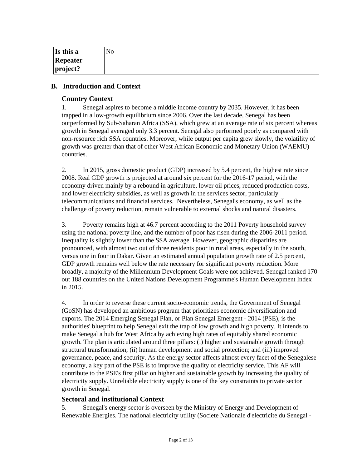| Is this a | No |
|-----------|----|
| Repeater  |    |
| project?  |    |

# **B. Introduction and Context**

# **Country Context**

1. Senegal aspires to become a middle income country by 2035. However, it has been trapped in a low-growth equilibrium since 2006. Over the last decade, Senegal has been outperformed by Sub-Saharan Africa (SSA), which grew at an average rate of six percent whereas growth in Senegal averaged only 3.3 percent. Senegal also performed poorly as compared with non-resource rich SSA countries. Moreover, while output per capita grew slowly, the volatility of growth was greater than that of other West African Economic and Monetary Union (WAEMU) countries.

2. In 2015, gross domestic product (GDP) increased by 5.4 percent, the highest rate since 2008. Real GDP growth is projected at around six percent for the 2016-17 period, with the economy driven mainly by a rebound in agriculture, lower oil prices, reduced production costs, and lower electricity subsidies, as well as growth in the services sector, particularly telecommunications and financial services. Nevertheless, Senegal's economy, as well as the challenge of poverty reduction, remain vulnerable to external shocks and natural disasters.

3. Poverty remains high at 46.7 percent according to the 2011 Poverty household survey using the national poverty line, and the number of poor has risen during the 2006-2011 period. Inequality is slightly lower than the SSA average. However, geographic disparities are pronounced, with almost two out of three residents poor in rural areas, especially in the south, versus one in four in Dakar. Given an estimated annual population growth rate of 2.5 percent, GDP growth remains well below the rate necessary for significant poverty reduction. More broadly, a majority of the Millennium Development Goals were not achieved. Senegal ranked 170 out 188 countries on the United Nations Development Programme's Human Development Index in 2015.

4. In order to reverse these current socio-economic trends, the Government of Senegal (GoSN) has developed an ambitious program that prioritizes economic diversification and exports. The 2014 Emerging Senegal Plan, or Plan Senegal Emergent - 2014 (PSE), is the authorities' blueprint to help Senegal exit the trap of low growth and high poverty. It intends to make Senegal a hub for West Africa by achieving high rates of equitably shared economic growth. The plan is articulated around three pillars: (i) higher and sustainable growth through structural transformation; (ii) human development and social protection; and (iii) improved governance, peace, and security. As the energy sector affects almost every facet of the Senegalese economy, a key part of the PSE is to improve the quality of electricity service. This AF will contribute to the PSE's first pillar on higher and sustainable growth by increasing the quality of electricity supply. Unreliable electricity supply is one of the key constraints to private sector growth in Senegal.

# **Sectoral and institutional Context**

5. Senegal's energy sector is overseen by the Ministry of Energy and Development of Renewable Energies. The national electricity utility (Societe Nationale d'electricite du Senegal -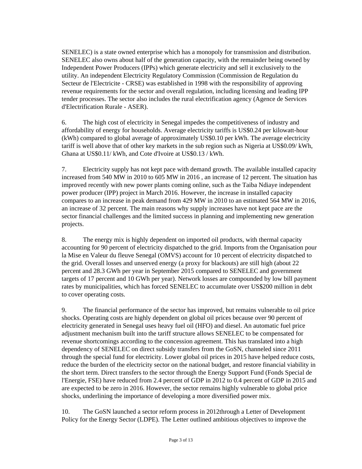SENELEC) is a state owned enterprise which has a monopoly for transmission and distribution. SENELEC also owns about half of the generation capacity, with the remainder being owned by Independent Power Producers (IPPs) which generate electricity and sell it exclusively to the utility. An independent Electricity Regulatory Commission (Commission de Regulation du Secteur de l'Electricite - CRSE) was established in 1998 with the responsibility of approving revenue requirements for the sector and overall regulation, including licensing and leading IPP tender processes. The sector also includes the rural electrification agency (Agence de Services d'Electrification Rurale - ASER).

6. The high cost of electricity in Senegal impedes the competitiveness of industry and affordability of energy for households. Average electricity tariffs is US\$0.24 per kilowatt-hour (kWh) compared to global average of approximately US\$0.10 per kWh. The average electricity tariff is well above that of other key markets in the sub region such as Nigeria at US\$0.09/ kWh, Ghana at US\$0.11/ kWh, and Cote d'Ivoire at US\$0.13 / kWh.

7. Electricity supply has not kept pace with demand growth. The available installed capacity increased from 540 MW in 2010 to 605 MW in 2016 , an increase of 12 percent. The situation has improved recently with new power plants coming online, such as the Taiba Ndiaye independent power producer (IPP) project in March 2016. However, the increase in installed capacity compares to an increase in peak demand from 429 MW in 2010 to an estimated 564 MW in 2016, an increase of 32 percent. The main reasons why supply increases have not kept pace are the sector financial challenges and the limited success in planning and implementing new generation projects.

8. The energy mix is highly dependent on imported oil products, with thermal capacity accounting for 90 percent of electricity dispatched to the grid. Imports from the Organisation pour la Mise en Valeur du fleuve Senegal (OMVS) account for 10 percent of electricity dispatched to the grid. Overall losses and unserved energy (a proxy for blackouts) are still high (about 22 percent and 28.3 GWh per year in September 2015 compared to SENELEC and government targets of 17 percent and 10 GWh per year). Network losses are compounded by low bill payment rates by municipalities, which has forced SENELEC to accumulate over US\$200 million in debt to cover operating costs.

9. The financial performance of the sector has improved, but remains vulnerable to oil price shocks. Operating costs are highly dependent on global oil prices because over 90 percent of electricity generated in Senegal uses heavy fuel oil (HFO) and diesel. An automatic fuel price adjustment mechanism built into the tariff structure allows SENELEC to be compensated for revenue shortcomings according to the concession agreement. This has translated into a high dependency of SENELEC on direct subsidy transfers from the GoSN, channeled since 2011 through the special fund for electricity. Lower global oil prices in 2015 have helped reduce costs, reduce the burden of the electricity sector on the national budget, and restore financial viability in the short term. Direct transfers to the sector through the Energy Support Fund (Fonds Special de l'Energie, FSE) have reduced from 2.4 percent of GDP in 2012 to 0.4 percent of GDP in 2015 and are expected to be zero in 2016. However, the sector remains highly vulnerable to global price shocks, underlining the importance of developing a more diversified power mix.

10. The GoSN launched a sector reform process in 2012through a Letter of Development Policy for the Energy Sector (LDPE). The Letter outlined ambitious objectives to improve the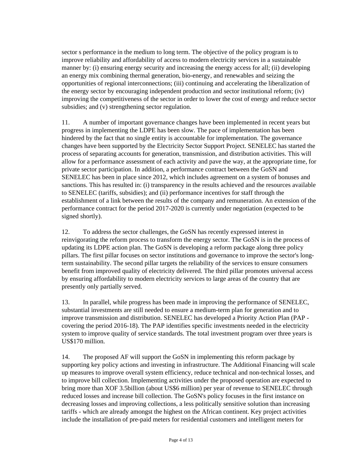sector s performance in the medium to long term. The objective of the policy program is to improve reliability and affordability of access to modern electricity services in a sustainable manner by: (i) ensuring energy security and increasing the energy access for all; (ii) developing an energy mix combining thermal generation, bio-energy, and renewables and seizing the opportunities of regional interconnections; (iii) continuing and accelerating the liberalization of the energy sector by encouraging independent production and sector institutional reform; (iv) improving the competitiveness of the sector in order to lower the cost of energy and reduce sector subsidies; and (v) strengthening sector regulation.

11. A number of important governance changes have been implemented in recent years but progress in implementing the LDPE has been slow. The pace of implementation has been hindered by the fact that no single entity is accountable for implementation. The governance changes have been supported by the Electricity Sector Support Project. SENELEC has started the process of separating accounts for generation, transmission, and distribution activities. This will allow for a performance assessment of each activity and pave the way, at the appropriate time, for private sector participation. In addition, a performance contract between the GoSN and SENELEC has been in place since 2012, which includes agreement on a system of bonuses and sanctions. This has resulted in: (i) transparency in the results achieved and the resources available to SENELEC (tariffs, subsidies); and (ii) performance incentives for staff through the establishment of a link between the results of the company and remuneration. An extension of the performance contract for the period 2017-2020 is currently under negotiation (expected to be signed shortly).

12. To address the sector challenges, the GoSN has recently expressed interest in reinvigorating the reform process to transform the energy sector. The GoSN is in the process of updating its LDPE action plan. The GoSN is developing a reform package along three policy pillars. The first pillar focuses on sector institutions and governance to improve the sector's longterm sustainability. The second pillar targets the reliability of the services to ensure consumers benefit from improved quality of electricity delivered. The third pillar promotes universal access by ensuring affordability to modern electricity services to large areas of the country that are presently only partially served.

13. In parallel, while progress has been made in improving the performance of SENELEC, substantial investments are still needed to ensure a medium-term plan for generation and to improve transmission and distribution. SENELEC has developed a Priority Action Plan (PAP covering the period 2016-18). The PAP identifies specific investments needed in the electricity system to improve quality of service standards. The total investment program over three years is US\$170 million.

14. The proposed AF will support the GoSN in implementing this reform package by supporting key policy actions and investing in infrastructure. The Additional Financing will scale up measures to improve overall system efficiency, reduce technical and non-technical losses, and to improve bill collection. Implementing activities under the proposed operation are expected to bring more than XOF 3.5billion (about US\$6 million) per year of revenue to SENELEC through reduced losses and increase bill collection. The GoSN's policy focuses in the first instance on decreasing losses and improving collections, a less politically sensitive solution than increasing tariffs - which are already amongst the highest on the African continent. Key project activities include the installation of pre-paid meters for residential customers and intelligent meters for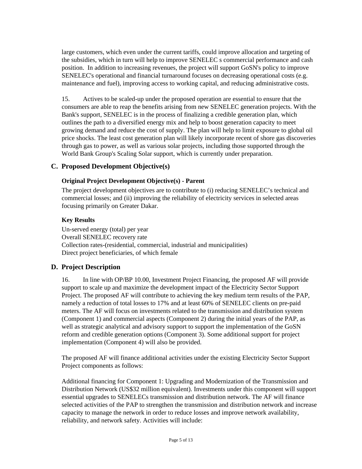large customers, which even under the current tariffs, could improve allocation and targeting of the subsidies, which in turn will help to improve SENELEC s commercial performance and cash position. In addition to increasing revenues, the project will support GoSN's policy to improve SENELEC's operational and financial turnaround focuses on decreasing operational costs (e.g. maintenance and fuel), improving access to working capital, and reducing administrative costs.

15. Actives to be scaled-up under the proposed operation are essential to ensure that the consumers are able to reap the benefits arising from new SENELEC generation projects. With the Bank's support, SENELEC is in the process of finalizing a credible generation plan, which outlines the path to a diversified energy mix and help to boost generation capacity to meet growing demand and reduce the cost of supply. The plan will help to limit exposure to global oil price shocks. The least cost generation plan will likely incorporate recent of shore gas discoveries through gas to power, as well as various solar projects, including those supported through the World Bank Group's Scaling Solar support, which is currently under preparation.

# **C. Proposed Development Objective(s)**

## **Original Project Development Objective(s) - Parent**

The project development objectives are to contribute to (i) reducing SENELEC's technical and commercial losses; and (ii) improving the reliability of electricity services in selected areas focusing primarily on Greater Dakar.

## **Key Results**

Un-served energy (total) per year Overall SENELEC recovery rate Collection rates-(residential, commercial, industrial and municipalities) Direct project beneficiaries, of which female

# **D. Project Description**

16. In line with OP/BP 10.00, Investment Project Financing, the proposed AF will provide support to scale up and maximize the development impact of the Electricity Sector Support Project. The proposed AF will contribute to achieving the key medium term results of the PAP, namely a reduction of total losses to 17% and at least 60% of SENELEC clients on pre-paid meters. The AF will focus on investments related to the transmission and distribution system (Component 1) and commercial aspects (Component 2) during the initial years of the PAP, as well as strategic analytical and advisory support to support the implementation of the GoSN reform and credible generation options (Component 3). Some additional support for project implementation (Component 4) will also be provided.

The proposed AF will finance additional activities under the existing Electricity Sector Support Project components as follows:

Additional financing for Component 1: Upgrading and Modernization of the Transmission and Distribution Network (US\$32 million equivalent). Investments under this component will support essential upgrades to SENELECs transmission and distribution network. The AF will finance selected activities of the PAP to strengthen the transmission and distribution network and increase capacity to manage the network in order to reduce losses and improve network availability, reliability, and network safety. Activities will include: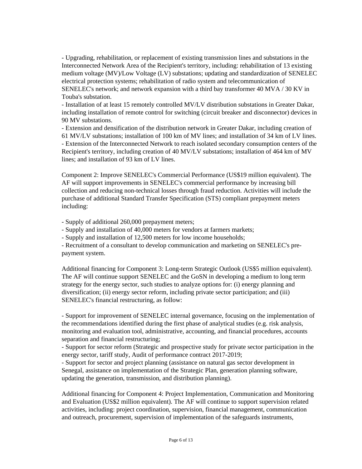- Upgrading, rehabilitation, or replacement of existing transmission lines and substations in the Interconnected Network Area of the Recipient's territory, including: rehabilitation of 13 existing medium voltage (MV)/Low Voltage (LV) substations; updating and standardization of SENELEC electrical protection systems; rehabilitation of radio system and telecommunication of SENELEC's network; and network expansion with a third bay transformer 40 MVA / 30 KV in Touba's substation.

- Installation of at least 15 remotely controlled MV/LV distribution substations in Greater Dakar, including installation of remote control for switching (circuit breaker and disconnector) devices in 90 MV substations.

- Extension and densification of the distribution network in Greater Dakar, including creation of 61 MV/LV substations; installation of 100 km of MV lines; and installation of 34 km of LV lines. - Extension of the Interconnected Network to reach isolated secondary consumption centers of the Recipient's territory, including creation of 40 MV/LV substations; installation of 464 km of MV lines; and installation of 93 km of LV lines.

Component 2: Improve SENELEC's Commercial Performance (US\$19 million equivalent). The AF will support improvements in SENELEC's commercial performance by increasing bill collection and reducing non-technical losses through fraud reduction. Activities will include the purchase of additional Standard Transfer Specification (STS) compliant prepayment meters including:

- Supply of additional 260,000 prepayment meters;

- Supply and installation of 40,000 meters for vendors at farmers markets;

- Supply and installation of 12,500 meters for low income households;

- Recruitment of a consultant to develop communication and marketing on SENELEC's prepayment system.

Additional financing for Component 3: Long-term Strategic Outlook (US\$5 million equivalent). The AF will continue support SENELEC and the GoSN in developing a medium to long term strategy for the energy sector, such studies to analyze options for: (i) energy planning and diversification; (ii) energy sector reform, including private sector participation; and (iii) SENELEC's financial restructuring, as follow:

- Support for improvement of SENELEC internal governance, focusing on the implementation of the recommendations identified during the first phase of analytical studies (e.g. risk analysis, monitoring and evaluation tool, administrative, accounting, and financial procedures, accounts separation and financial restructuring;

- Support for sector reform (Strategic and prospective study for private sector participation in the energy sector, tariff study, Audit of performance contract 2017-2019;

- Support for sector and project planning (assistance on natural gas sector development in Senegal, assistance on implementation of the Strategic Plan, generation planning software, updating the generation, transmission, and distribution planning).

Additional financing for Component 4: Project Implementation, Communication and Monitoring and Evaluation (US\$2 million equivalent). The AF will continue to support supervision related activities, including: project coordination, supervision, financial management, communication and outreach, procurement, supervision of implementation of the safeguards instruments,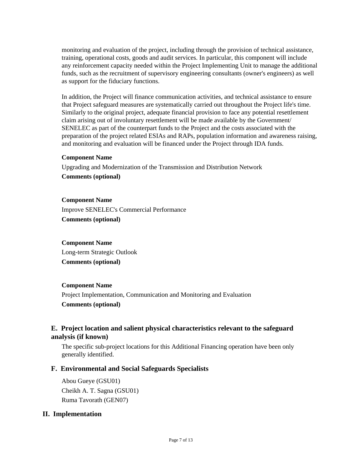monitoring and evaluation of the project, including through the provision of technical assistance, training, operational costs, goods and audit services. In particular, this component will include any reinforcement capacity needed within the Project Implementing Unit to manage the additional funds, such as the recruitment of supervisory engineering consultants (owner's engineers) as well as support for the fiduciary functions.

In addition, the Project will finance communication activities, and technical assistance to ensure that Project safeguard measures are systematically carried out throughout the Project life's time. Similarly to the original project, adequate financial provision to face any potential resettlement claim arising out of involuntary resettlement will be made available by the Government/ SENELEC as part of the counterpart funds to the Project and the costs associated with the preparation of the project related ESIAs and RAPs, population information and awareness raising, and monitoring and evaluation will be financed under the Project through IDA funds.

#### **Component Name**

Upgrading and Modernization of the Transmission and Distribution Network **Comments (optional)**

#### **Component Name**

Improve SENELEC's Commercial Performance **Comments (optional)**

#### **Component Name**

Long-term Strategic Outlook **Comments (optional)**

#### **Component Name**

Project Implementation, Communication and Monitoring and Evaluation **Comments (optional)**

# **E. Project location and salient physical characteristics relevant to the safeguard analysis (if known)**

The specific sub-project locations for this Additional Financing operation have been only generally identified.

#### **F. Environmental and Social Safeguards Specialists**

Abou Gueye (GSU01) Cheikh A. T. Sagna (GSU01) Ruma Tavorath (GEN07)

#### **II. Implementation**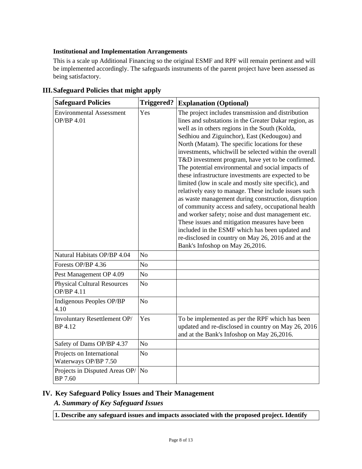## **Institutional and Implementation Arrangements**

This is a scale up Additional Financing so the original ESMF and RPF will remain pertinent and will be implemented accordingly. The safeguards instruments of the parent project have been assessed as being satisfactory.

| <b>Safeguard Policies</b>                               | <b>Triggered?</b> | <b>Explanation (Optional)</b>                                                                                                                                                                                                                                                                                                                                                                                                                                                                                                                                                                                                                                                                                                                                                                                                                                                                                                                                               |
|---------------------------------------------------------|-------------------|-----------------------------------------------------------------------------------------------------------------------------------------------------------------------------------------------------------------------------------------------------------------------------------------------------------------------------------------------------------------------------------------------------------------------------------------------------------------------------------------------------------------------------------------------------------------------------------------------------------------------------------------------------------------------------------------------------------------------------------------------------------------------------------------------------------------------------------------------------------------------------------------------------------------------------------------------------------------------------|
| <b>Environmental Assessment</b><br><b>OP/BP 4.01</b>    | Yes               | The project includes transmission and distribution<br>lines and substations in the Greater Dakar region, as<br>well as in others regions in the South (Kolda,<br>Sedhiou and Ziguinchor), East (Kedougou) and<br>North (Matam). The specific locations for these<br>investments, whichwill be selected within the overall<br>T&D investment program, have yet to be confirmed.<br>The potential environmental and social impacts of<br>these infrastructure investments are expected to be<br>limited (low in scale and mostly site specific), and<br>relatively easy to manage. These include issues such<br>as waste management during construction, disruption<br>of community access and safety, occupational health<br>and worker safety; noise and dust management etc.<br>These issues and mitigation measures have been<br>included in the ESMF which has been updated and<br>re-disclosed in country on May 26, 2016 and at the<br>Bank's Infoshop on May 26,2016. |
| Natural Habitats OP/BP 4.04                             | N <sub>o</sub>    |                                                                                                                                                                                                                                                                                                                                                                                                                                                                                                                                                                                                                                                                                                                                                                                                                                                                                                                                                                             |
| Forests OP/BP 4.36                                      | N <sub>o</sub>    |                                                                                                                                                                                                                                                                                                                                                                                                                                                                                                                                                                                                                                                                                                                                                                                                                                                                                                                                                                             |
| Pest Management OP 4.09                                 | No                |                                                                                                                                                                                                                                                                                                                                                                                                                                                                                                                                                                                                                                                                                                                                                                                                                                                                                                                                                                             |
| <b>Physical Cultural Resources</b><br><b>OP/BP 4.11</b> | N <sub>o</sub>    |                                                                                                                                                                                                                                                                                                                                                                                                                                                                                                                                                                                                                                                                                                                                                                                                                                                                                                                                                                             |
| Indigenous Peoples OP/BP<br>4.10                        | N <sub>o</sub>    |                                                                                                                                                                                                                                                                                                                                                                                                                                                                                                                                                                                                                                                                                                                                                                                                                                                                                                                                                                             |
| Involuntary Resettlement OP/<br>BP 4.12                 | Yes               | To be implemented as per the RPF which has been<br>updated and re-disclosed in country on May 26, 2016<br>and at the Bank's Infoshop on May 26,2016.                                                                                                                                                                                                                                                                                                                                                                                                                                                                                                                                                                                                                                                                                                                                                                                                                        |
| Safety of Dams OP/BP 4.37                               | N <sub>o</sub>    |                                                                                                                                                                                                                                                                                                                                                                                                                                                                                                                                                                                                                                                                                                                                                                                                                                                                                                                                                                             |
| Projects on International<br>Waterways OP/BP 7.50       | N <sub>o</sub>    |                                                                                                                                                                                                                                                                                                                                                                                                                                                                                                                                                                                                                                                                                                                                                                                                                                                                                                                                                                             |
| Projects in Disputed Areas OP/<br>BP 7.60               | N <sub>o</sub>    |                                                                                                                                                                                                                                                                                                                                                                                                                                                                                                                                                                                                                                                                                                                                                                                                                                                                                                                                                                             |

# **III.Safeguard Policies that might apply**

# **IV. Key Safeguard Policy Issues and Their Management**

# *A. Summary of Key Safeguard Issues*

**1. Describe any safeguard issues and impacts associated with the proposed project. Identify**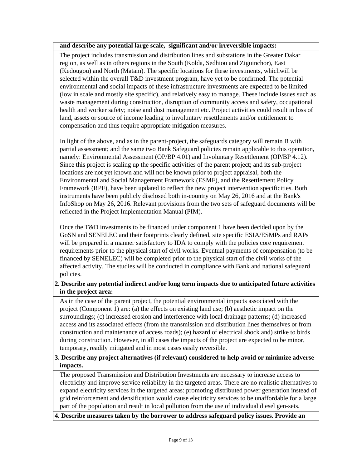## **and describe any potential large scale, significant and/or irreversible impacts:**

The project includes transmission and distribution lines and substations in the Greater Dakar region, as well as in others regions in the South (Kolda, Sedhiou and Ziguinchor), East (Kedougou) and North (Matam). The specific locations for these investments, whichwill be selected within the overall T&D investment program, have yet to be confirmed. The potential environmental and social impacts of these infrastructure investments are expected to be limited (low in scale and mostly site specific), and relatively easy to manage. These include issues such as waste management during construction, disruption of community access and safety, occupational health and worker safety; noise and dust management etc. Project activities could result in loss of land, assets or source of income leading to involuntary resettlements and/or entitlement to compensation and thus require appropriate mitigation measures.

In light of the above, and as in the parent-project, the safeguards category will remain B with partial assessment; and the same two Bank Safeguard policies remain applicable to this operation, namely: Environmental Assessment (OP/BP 4.01) and Involuntary Resettlement (OP/BP 4.12). Since this project is scaling up the specific activities of the parent project; and its sub-project locations are not yet known and will not be known prior to project appraisal, both the Environmental and Social Management Framework (ESMF), and the Resettlement Policy Framework (RPF), have been updated to reflect the new project intervention specificities. Both instruments have been publicly disclosed both in-country on May 26, 2016 and at the Bank's InfoShop on May 26, 2016. Relevant provisions from the two sets of safeguard documents will be reflected in the Project Implementation Manual (PIM).

Once the T&D investments to be financed under component 1 have been decided upon by the GoSN and SENELEC and their footprints clearly defined, site specific ESIA/ESMPs and RAPs will be prepared in a manner satisfactory to IDA to comply with the policies core requirement requirements prior to the physical start of civil works. Eventual payments of compensation (to be financed by SENELEC) will be completed prior to the physical start of the civil works of the affected activity. The studies will be conducted in compliance with Bank and national safeguard policies.

# **2. Describe any potential indirect and/or long term impacts due to anticipated future activities in the project area:**

As in the case of the parent project, the potential environmental impacts associated with the project (Component 1) are: (a) the effects on existing land use; (b) aesthetic impact on the surroundings; (c) increased erosion and interference with local drainage patterns; (d) increased access and its associated effects (from the transmission and distribution lines themselves or from construction and maintenance of access roads); (e) hazard of electrical shock and) strike to birds during construction. However, in all cases the impacts of the project are expected to be minor, temporary, readily mitigated and in most cases easily reversible.

# **3. Describe any project alternatives (if relevant) considered to help avoid or minimize adverse impacts.**

The proposed Transmission and Distribution Investments are necessary to increase access to electricity and improve service reliability in the targeted areas. There are no realistic alternatives to expand electricity services in the targeted areas: promoting distributed power generation instead of grid reinforcement and densification would cause electricity services to be unaffordable for a large part of the population and result in local pollution from the use of individual diesel gen-sets.

**4. Describe measures taken by the borrower to address safeguard policy issues. Provide an**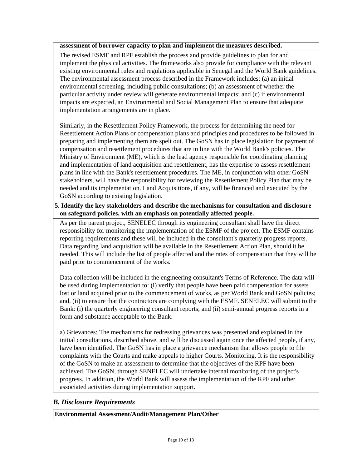## **assessment of borrower capacity to plan and implement the measures described.**

The revised ESMF and RPF establish the process and provide guidelines to plan for and implement the physical activities. The frameworks also provide for compliance with the relevant existing environmental rules and regulations applicable in Senegal and the World Bank guidelines. The environmental assessment process described in the Framework includes: (a) an initial environmental screening, including public consultations; (b) an assessment of whether the particular activity under review will generate environmental impacts; and (c) if environmental impacts are expected, an Environmental and Social Management Plan to ensure that adequate implementation arrangements are in place.

Similarly, in the Resettlement Policy Framework, the process for determining the need for Resettlement Action Plans or compensation plans and principles and procedures to be followed in preparing and implementing them are spelt out. The GoSN has in place legislation for payment of compensation and resettlement procedures that are in line with the World Bank's policies. The Ministry of Environment (ME), which is the lead agency responsible for coordinating planning and implementation of land acquisition and resettlement, has the expertise to assess resettlement plans in line with the Bank's resettlement procedures. The ME, in conjunction with other GoSN stakeholders, will have the responsibility for reviewing the Resettlement Policy Plan that may be needed and its implementation. Land Acquisitions, if any, will be financed and executed by the GoSN according to existing legislation.

**5. Identify the key stakeholders and describe the mechanisms for consultation and disclosure on safeguard policies, with an emphasis on potentially affected people.**

As per the parent project, SENELEC through its engineering consultant shall have the direct responsibility for monitoring the implementation of the ESMF of the project. The ESMF contains reporting requirements and these will be included in the consultant's quarterly progress reports. Data regarding land acquisition will be available in the Resettlement Action Plan, should it be needed. This will include the list of people affected and the rates of compensation that they will be paid prior to commencement of the works.

Data collection will be included in the engineering consultant's Terms of Reference. The data will be used during implementation to: (i) verify that people have been paid compensation for assets lost or land acquired prior to the commencement of works, as per World Bank and GoSN policies; and, (ii) to ensure that the contractors are complying with the ESMF. SENELEC will submit to the Bank: (i) the quarterly engineering consultant reports; and (ii) semi-annual progress reports in a form and substance acceptable to the Bank.

a) Grievances: The mechanisms for redressing grievances was presented and explained in the initial consultations, described above, and will be discussed again once the affected people, if any, have been identified. The GoSN has in place a grievance mechanism that allows people to file complaints with the Courts and make appeals to higher Courts. Monitoring. It is the responsibility of the GoSN to make an assessment to determine that the objectives of the RPF have been achieved. The GoSN, through SENELEC will undertake internal monitoring of the project's progress. In addition, the World Bank will assess the implementation of the RPF and other associated activities during implementation support.

# *B. Disclosure Requirements*

**Environmental Assessment/Audit/Management Plan/Other**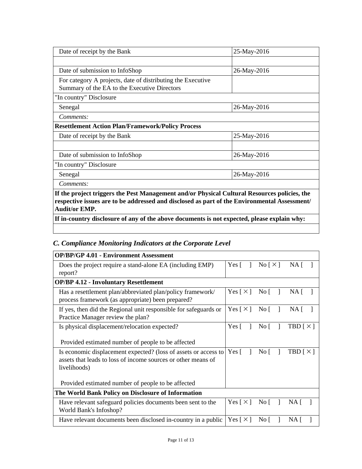| Date of receipt by the Bank<br>25-May-2016                                                                                                                                                                           |             |
|----------------------------------------------------------------------------------------------------------------------------------------------------------------------------------------------------------------------|-------------|
|                                                                                                                                                                                                                      |             |
| Date of submission to InfoShop                                                                                                                                                                                       | 26-May-2016 |
| For category A projects, date of distributing the Executive<br>Summary of the EA to the Executive Directors                                                                                                          |             |
| "In country" Disclosure                                                                                                                                                                                              |             |
| Senegal                                                                                                                                                                                                              | 26-May-2016 |
| Comments:                                                                                                                                                                                                            |             |
| <b>Resettlement Action Plan/Framework/Policy Process</b>                                                                                                                                                             |             |
| Date of receipt by the Bank                                                                                                                                                                                          | 25-May-2016 |
| Date of submission to InfoShop                                                                                                                                                                                       | 26-May-2016 |
| "In country" Disclosure                                                                                                                                                                                              |             |
| Senegal                                                                                                                                                                                                              | 26-May-2016 |
| Comments:                                                                                                                                                                                                            |             |
| If the project triggers the Pest Management and/or Physical Cultural Resources policies, the<br>respective issues are to be addressed and disclosed as part of the Environmental Assessment/<br><b>Audit/or EMP.</b> |             |

**If in-country disclosure of any of the above documents is not expected, please explain why:**

# *C. Compliance Monitoring Indicators at the Corporate Level*

| <b>OP/BP/GP 4.01 - Environment Assessment</b>                                                                                                    |                                  |                                  |                 |
|--------------------------------------------------------------------------------------------------------------------------------------------------|----------------------------------|----------------------------------|-----------------|
| Does the project require a stand-alone EA (including EMP)<br>report?                                                                             |                                  | $\text{No} \lceil \times \rceil$ | NA [            |
| <b>OP/BP 4.12 - Involuntary Resettlement</b>                                                                                                     |                                  |                                  |                 |
| Has a resettlement plan/abbreviated plan/policy framework/<br>process framework (as appropriate) been prepared?                                  | $Yes \, [ \, \times \, ]$ No $[$ |                                  | NA <sub>1</sub> |
| If yes, then did the Regional unit responsible for safeguards or<br>Practice Manager review the plan?                                            | Yes $\lceil \times \rceil$       | $\overline{N}$ o                 | NA <sub>1</sub> |
| Is physical displacement/relocation expected?                                                                                                    |                                  | No $\lceil$                      | TBD[X]          |
| Provided estimated number of people to be affected                                                                                               |                                  |                                  |                 |
| Is economic displacement expected? (loss of assets or access to<br>assets that leads to loss of income sources or other means of<br>livelihoods) |                                  | No $\lceil$                      | TBD[X]          |
| Provided estimated number of people to be affected                                                                                               |                                  |                                  |                 |
| The World Bank Policy on Disclosure of Information                                                                                               |                                  |                                  |                 |
| Have relevant safeguard policies documents been sent to the<br>World Bank's Infoshop?                                                            | Yes $\lceil \times \rceil$       | $\overline{N}$ o                 | NA [            |
| Have relevant documents been disclosed in-country in a public                                                                                    |                                  | No $\lceil$                      | NA [            |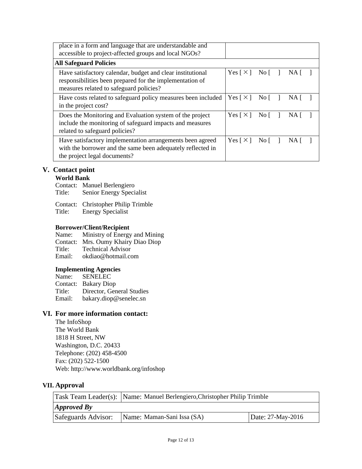| place in a form and language that are understandable and<br>accessible to project-affected groups and local NGOs?                                                 |                            |                  |        |  |
|-------------------------------------------------------------------------------------------------------------------------------------------------------------------|----------------------------|------------------|--------|--|
| <b>All Safeguard Policies</b>                                                                                                                                     |                            |                  |        |  |
| Have satisfactory calendar, budget and clear institutional<br>responsibilities been prepared for the implementation of<br>measures related to safeguard policies? | Yes $\lceil \times \rceil$ | $\overline{N}$ o | $NA$ [ |  |
| Have costs related to safeguard policy measures been included<br>in the project cost?                                                                             | Yes $\lceil \times \rceil$ | No [             | NA     |  |
| Does the Monitoring and Evaluation system of the project<br>include the monitoring of safeguard impacts and measures<br>related to safeguard policies?            | Yes $\lceil \times \rceil$ | No $\lceil$      | NA     |  |
| Have satisfactory implementation arrangements been agreed<br>with the borrower and the same been adequately reflected in<br>the project legal documents?          | Yes $\lceil \times \rceil$ | No $\lceil$      | NA I   |  |

# **V. Contact point**

## **World Bank**

Contact: Manuel Berlengiero<br>Title: Senior Energy Speci Senior Energy Specialist

Contact: Christopher Philip Trimble Energy Specialist

# **Borrower/Client/Recipient**<br>Name: Ministry of Energy

Ministry of Energy and Mining Contact: Mrs. Oumy Khairy Diao Diop Title: Technical Advisor<br>Email: okdiao@hotmail.co okdiao@hotmail.com

## **Implementing Agencies**

| Name:  | <b>SENELEC</b>            |
|--------|---------------------------|
|        | Contact: Bakary Diop      |
| Title: | Director, General Studies |
| Email: | bakary.diop@senelec.sn    |

# **VI. For more information contact:**

The InfoShop The World Bank 1818 H Street, NW Washington, D.C. 20433 Telephone: (202) 458-4500 Fax: (202) 522-1500 Web: http://www.worldbank.org/infoshop

# **VII. Approval**

|                       | Task Team Leader(s): Name: Manuel Berlengiero, Christopher Philip Trimble |                         |  |  |
|-----------------------|---------------------------------------------------------------------------|-------------------------|--|--|
| $A$ <i>pproved By</i> |                                                                           |                         |  |  |
| Safeguards Advisor:   | Name: Maman-Sani Issa (SA)                                                | Date: $27$ -May- $2016$ |  |  |